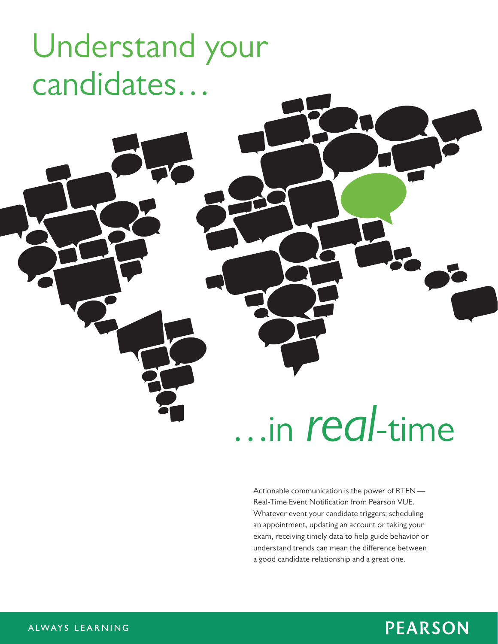# Understand your candidates…

# …in *real*-time

Actionable communication is the power of RTEN — Real-Time Event Notification from Pearson VUE. Whatever event your candidate triggers; scheduling an appointment, updating an account or taking your exam, receiving timely data to help guide behavior or understand trends can mean the difference between a good candidate relationship and a great one.

### **PEARSON**

#### ALWAYS LEARNING